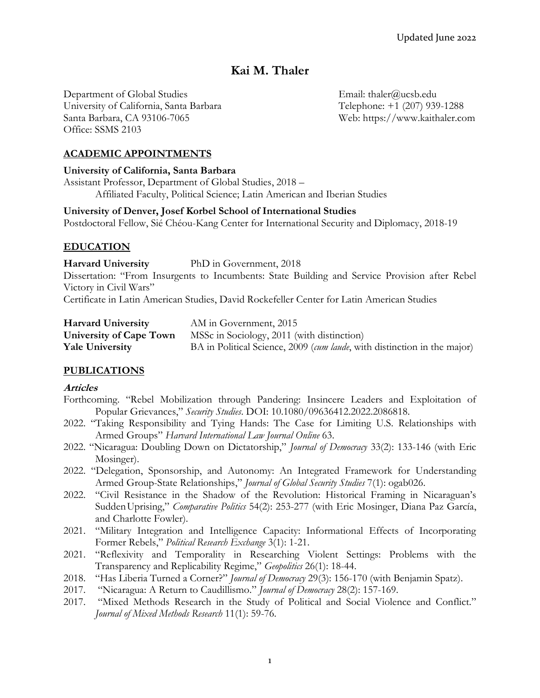# **Kai M. Thaler**

Department of Global Studies Email: thaler@ucsb.edu University of California, Santa Barbara Telephone: +1 (207) 939-1288 Santa Barbara, CA 93106-7065 Web: https://www.kaithaler.com Office: SSMS 2103

### **ACADEMIC APPOINTMENTS**

#### **University of California, Santa Barbara**

Assistant Professor, Department of Global Studies, 2018 – Affiliated Faculty, Political Science; Latin American and Iberian Studies

#### **University of Denver, Josef Korbel School of International Studies**

Postdoctoral Fellow, Sié Chéou-Kang Center for International Security and Diplomacy, 2018-19

### **EDUCATION**

#### **Harvard University** PhD in Government, 2018

Dissertation: "From Insurgents to Incumbents: State Building and Service Provision after Rebel Victory in Civil Wars"

Certificate in Latin American Studies, David Rockefeller Center for Latin American Studies

| <b>Harvard University</b> | AM in Government, 2015                                                   |
|---------------------------|--------------------------------------------------------------------------|
| University of Cape Town   | MSSc in Sociology, 2011 (with distinction)                               |
| <b>Yale University</b>    | BA in Political Science, 2009 (cum laude, with distinction in the major) |

## **PUBLICATIONS**

### **Articles**

- Forthcoming. "Rebel Mobilization through Pandering: Insincere Leaders and Exploitation of Popular Grievances," *Security Studies*. DOI: 10.1080/09636412.2022.2086818.
- 2022. "Taking Responsibility and Tying Hands: The Case for Limiting U.S. Relationships with Armed Groups" *Harvard International Law Journal Online* 63.
- 2022. "Nicaragua: Doubling Down on Dictatorship," *Journal of Democracy* 33(2): 133-146 (with Eric Mosinger).
- 2022. "Delegation, Sponsorship, and Autonomy: An Integrated Framework for Understanding Armed Group-State Relationships," *Journal of Global Security Studies* 7(1): ogab026.
- 2022. "Civil Resistance in the Shadow of the Revolution: Historical Framing in Nicaraguan's SuddenUprising," *Comparative Politics* 54(2): 253-277 (with Eric Mosinger, Diana Paz García, and Charlotte Fowler).
- 2021. "Military Integration and Intelligence Capacity: Informational Effects of Incorporating Former Rebels," *Political Research Exchange* 3(1): 1-21.
- 2021. "Reflexivity and Temporality in Researching Violent Settings: Problems with the Transparency and Replicability Regime," *Geopolitics* 26(1): 18-44.
- 2018. "Has Liberia Turned a Corner?" *Journal of Democracy* 29(3): 156-170 (with Benjamin Spatz).
- 2017. "Nicaragua: A Return to Caudillismo." *Journal of Democracy* 28(2): 157-169.
- 2017. "Mixed Methods Research in the Study of Political and Social Violence and Conflict." *Journal of Mixed Methods Research* 11(1): 59-76.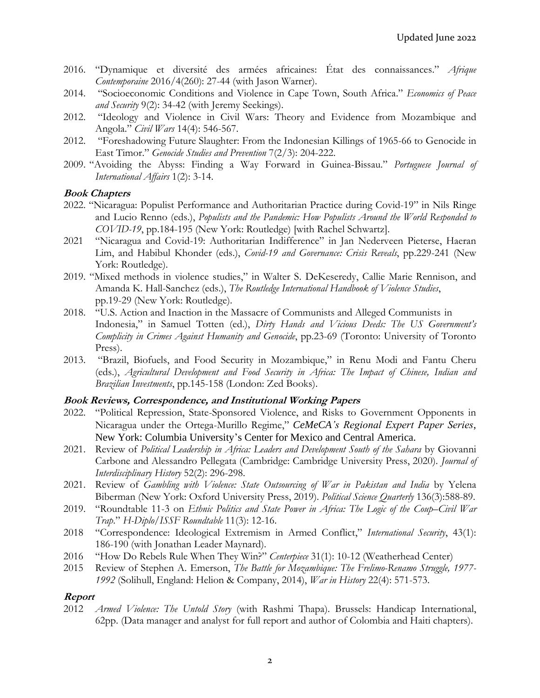- 2016. "Dynamique et diversité des armées africaines: État des connaissances." *Afrique Contemporaine* 2016/4(260): 27-44 (with Jason Warner).
- 2014. "Socioeconomic Conditions and Violence in Cape Town, South Africa." *Economics of Peace and Security* 9(2): 34-42 (with Jeremy Seekings).
- 2012. "Ideology and Violence in Civil Wars: Theory and Evidence from Mozambique and Angola." *Civil Wars* 14(4): 546-567.
- 2012. "Foreshadowing Future Slaughter: From the Indonesian Killings of 1965-66 to Genocide in East Timor." *Genocide Studies and Prevention* 7(2/3): 204-222.
- 2009. "Avoiding the Abyss: Finding a Way Forward in Guinea-Bissau." *Portuguese Journal of International Affairs* 1(2): 3-14.

#### **Book Chapters**

- 2022. "Nicaragua: Populist Performance and Authoritarian Practice during Covid-19" in Nils Ringe and Lucio Renno (eds.), *Populists and the Pandemic: How Populists Around the World Responded to COVID-19*, pp.184-195 (New York: Routledge) [with Rachel Schwartz].
- 2021 "Nicaragua and Covid-19: Authoritarian Indifference" in Jan Nederveen Pieterse, Haeran Lim, and Habibul Khonder (eds.), *Covid-19 and Governance: Crisis Reveals*, pp.229-241 (New York: Routledge).
- 2019. "Mixed methods in violence studies," in Walter S. DeKeseredy, Callie Marie Rennison, and Amanda K. Hall-Sanchez (eds.), *The Routledge International Handbook of Violence Studies*, pp.19-29 (New York: Routledge).
- 2018. "U.S. Action and Inaction in the Massacre of Communists and Alleged Communists in Indonesia," in Samuel Totten (ed.), *Dirty Hands and Vicious Deeds: The US Government's Complicity in Crimes Against Humanity and Genocide*, pp.23-69 (Toronto: University of Toronto Press).
- 2013. "Brazil, Biofuels, and Food Security in Mozambique," in Renu Modi and Fantu Cheru (eds.), *Agricultural Development and Food Security in Africa: The Impact of Chinese, Indian and Brazilian Investments*, pp.145-158 (London: Zed Books).

#### **Book Reviews, Correspondence, and Institutional Working Papers**

- 2022. "Political Repression, State-Sponsored Violence, and Risks to Government Opponents in Nicaragua under the Ortega-Murillo Regime," *CeMeCA's Regional Expert Paper Series*, New York: Columbia University's Center for Mexico and Central America.
- 2021. Review of *Political Leadership in Africa: Leaders and Development South of the Sahara* by Giovanni Carbone and Alessandro Pellegata (Cambridge: Cambridge University Press, 2020). *Journal of Interdisciplinary History* 52(2): 296-298.
- 2021. Review of *Gambling with Violence: State Outsourcing of War in Pakistan and India* by Yelena Biberman (New York: Oxford University Press, 2019). *Political Science Quarterly* 136(3):588-89.
- 2019. "Roundtable 11-3 on *Ethnic Politics and State Power in Africa: The Logic of the Coup–Civil War Trap*." *H-Diplo/ISSF Roundtable* 11(3): 12-16.
- 2018 "Correspondence: Ideological Extremism in Armed Conflict," *International Security*, 43(1): 186-190 (with Jonathan Leader Maynard).
- 2016 "How Do Rebels Rule When They Win?" *Centerpiece* 31(1): 10-12 (Weatherhead Center)
- 2015 Review of Stephen A. Emerson, *The Battle for Mozambique: The Frelimo-Renamo Struggle, 1977- 1992* (Solihull, England: Helion & Company, 2014), *War in History* 22(4): 571-573.

### **Report**

2012 *Armed Violence: The Untold Story* (with Rashmi Thapa). Brussels: Handicap International, 62pp. (Data manager and analyst for full report and author of Colombia and Haiti chapters).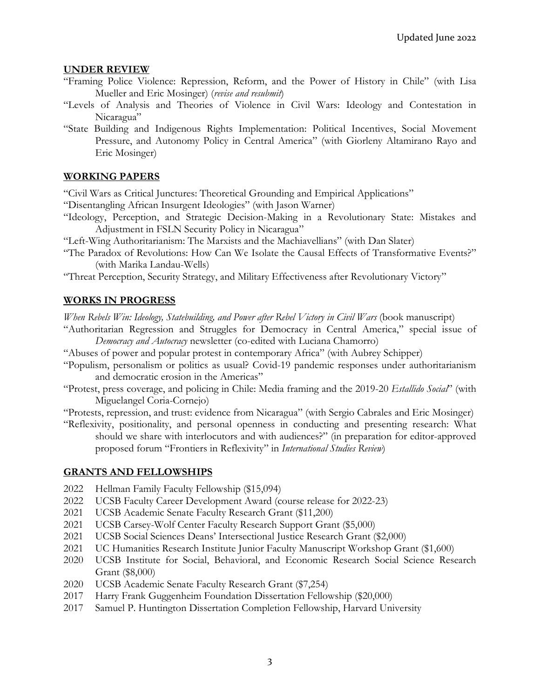#### **UNDER REVIEW**

- "Framing Police Violence: Repression, Reform, and the Power of History in Chile" (with Lisa Mueller and Eric Mosinger) (*revise and resubmit*)
- "Levels of Analysis and Theories of Violence in Civil Wars: Ideology and Contestation in Nicaragua"
- "State Building and Indigenous Rights Implementation: Political Incentives, Social Movement Pressure, and Autonomy Policy in Central America" (with Giorleny Altamirano Rayo and Eric Mosinger)

### **WORKING PAPERS**

"Civil Wars as Critical Junctures: Theoretical Grounding and Empirical Applications"

- "Disentangling African Insurgent Ideologies" (with Jason Warner)
- "Ideology, Perception, and Strategic Decision-Making in a Revolutionary State: Mistakes and Adjustment in FSLN Security Policy in Nicaragua"

"Left-Wing Authoritarianism: The Marxists and the Machiavellians" (with Dan Slater)

- "The Paradox of Revolutions: How Can We Isolate the Causal Effects of Transformative Events?" (with Marika Landau-Wells)
- "Threat Perception, Security Strategy, and Military Effectiveness after Revolutionary Victory"

### **WORKS IN PROGRESS**

*When Rebels Win: Ideology, Statebuilding, and Power after Rebel Victory in Civil Wars* (book manuscript)

- "Authoritarian Regression and Struggles for Democracy in Central America," special issue of *Democracy and Autocracy* newsletter (co-edited with Luciana Chamorro)
- "Abuses of power and popular protest in contemporary Africa" (with Aubrey Schipper)
- "Populism, personalism or politics as usual? Covid-19 pandemic responses under authoritarianism and democratic erosion in the Americas"
- "Protest, press coverage, and policing in Chile: Media framing and the 2019-20 *Estallido Social*" (with Miguelangel Coria-Cornejo)

"Protests, repression, and trust: evidence from Nicaragua" (with Sergio Cabrales and Eric Mosinger)

"Reflexivity, positionality, and personal openness in conducting and presenting research: What should we share with interlocutors and with audiences?" (in preparation for editor-approved proposed forum "Frontiers in Reflexivity" in *International Studies Review*)

### **GRANTS AND FELLOWSHIPS**

- 2022 Hellman Family Faculty Fellowship (\$15,094)
- 2022 UCSB Faculty Career Development Award (course release for 2022-23)
- 2021 UCSB Academic Senate Faculty Research Grant (\$11,200)
- 2021 UCSB Carsey-Wolf Center Faculty Research Support Grant (\$5,000)
- 2021 UCSB Social Sciences Deans' Intersectional Justice Research Grant (\$2,000)
- 2021 UC Humanities Research Institute Junior Faculty Manuscript Workshop Grant (\$1,600)
- 2020 UCSB Institute for Social, Behavioral, and Economic Research Social Science Research Grant (\$8,000)
- 2020 UCSB Academic Senate Faculty Research Grant (\$7,254)
- 2017 Harry Frank Guggenheim Foundation Dissertation Fellowship (\$20,000)
- 2017 Samuel P. Huntington Dissertation Completion Fellowship, Harvard University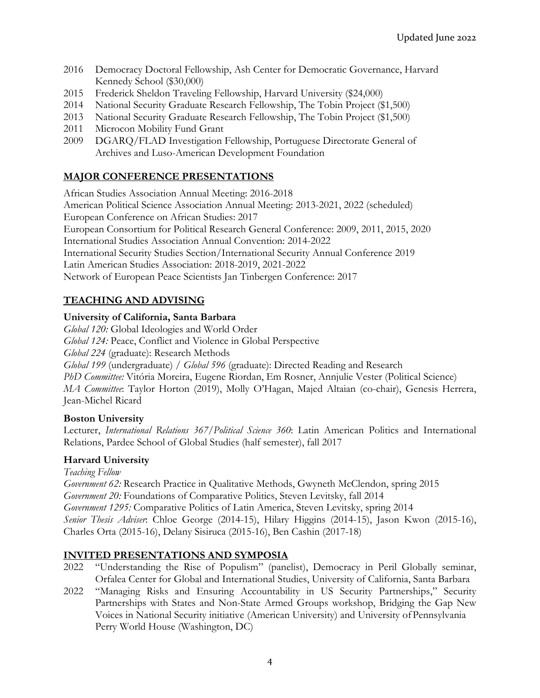- 2016 Democracy Doctoral Fellowship, Ash Center for Democratic Governance, Harvard Kennedy School (\$30,000)
- 2015 Frederick Sheldon Traveling Fellowship, Harvard University (\$24,000)
- 2014 National Security Graduate Research Fellowship, The Tobin Project (\$1,500)
- 2013 National Security Graduate Research Fellowship, The Tobin Project (\$1,500)
- 2011 Microcon Mobility Fund Grant
- 2009 DGARQ/FLAD Investigation Fellowship, Portuguese Directorate General of Archives and Luso-American Development Foundation

# **MAJOR CONFERENCE PRESENTATIONS**

African Studies Association Annual Meeting: 2016-2018

American Political Science Association Annual Meeting: 2013-2021, 2022 (scheduled) European Conference on African Studies: 2017 European Consortium for Political Research General Conference: 2009, 2011, 2015, 2020 International Studies Association Annual Convention: 2014-2022 International Security Studies Section/International Security Annual Conference 2019 Latin American Studies Association: 2018-2019, 2021-2022 Network of European Peace Scientists Jan Tinbergen Conference: 2017

# **TEACHING AND ADVISING**

## **University of California, Santa Barbara**

*Global 120:* Global Ideologies and World Order *Global 124:* Peace, Conflict and Violence in Global Perspective *Global 224* (graduate): Research Methods *Global 199* (undergraduate) / *Global 596* (graduate): Directed Reading and Research *PhD Committee:* Vitória Moreira, Eugene Riordan, Em Rosner, Annjulie Vester (Political Science) *MA Committee*: Taylor Horton (2019), Molly O'Hagan, Majed Altaian (co-chair), Genesis Herrera, Jean-Michel Ricard

## **Boston University**

Lecturer, *International Relations 367/Political Science 360*: Latin American Politics and International Relations, Pardee School of Global Studies (half semester), fall 2017

## **Harvard University**

*Teaching Fellow*

*Government 62:* Research Practice in Qualitative Methods, Gwyneth McClendon, spring 2015 *Government 20:* Foundations of Comparative Politics, Steven Levitsky, fall 2014 *Government 1295:* Comparative Politics of Latin America, Steven Levitsky, spring 2014 *Senior Thesis Adviser*: Chloe George (2014-15), Hilary Higgins (2014-15), Jason Kwon (2015-16), Charles Orta (2015-16), Delany Sisiruca (2015-16), Ben Cashin (2017-18)

## **INVITED PRESENTATIONS AND SYMPOSIA**

- 2022 "Understanding the Rise of Populism" (panelist), Democracy in Peril Globally seminar, Orfalea Center for Global and International Studies, University of California, Santa Barbara
- 2022 "Managing Risks and Ensuring Accountability in US Security Partnerships," Security Partnerships with States and Non-State Armed Groups workshop, Bridging the Gap New Voices in National Security initiative (American University) and University ofPennsylvania Perry World House (Washington, DC)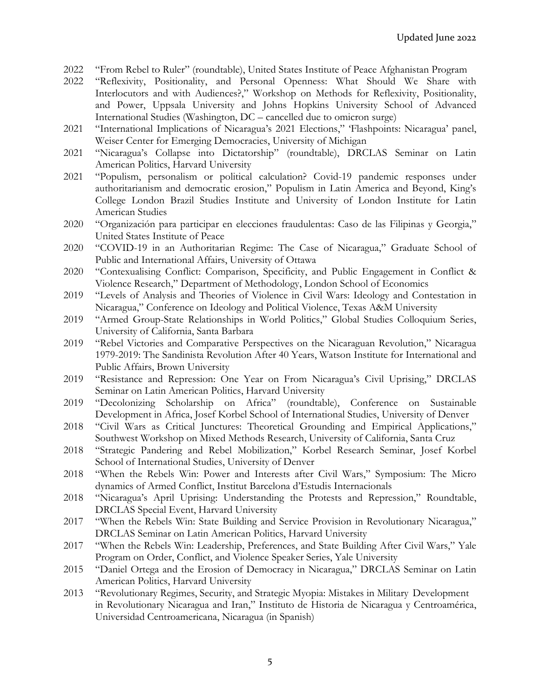- 2022 "From Rebel to Ruler" (roundtable), United States Institute of Peace Afghanistan Program
- 2022 "Reflexivity, Positionality, and Personal Openness: What Should We Share with Interlocutors and with Audiences?," Workshop on Methods for Reflexivity, Positionality, and Power, Uppsala University and Johns Hopkins University School of Advanced International Studies (Washington, DC – cancelled due to omicron surge)
- 2021 "International Implications of Nicaragua's 2021 Elections," 'Flashpoints: Nicaragua' panel, Weiser Center for Emerging Democracies, University of Michigan
- 2021 "Nicaragua's Collapse into Dictatorship" (roundtable), DRCLAS Seminar on Latin American Politics, Harvard University
- 2021 "Populism, personalism or political calculation? Covid-19 pandemic responses under authoritarianism and democratic erosion," Populism in Latin America and Beyond, King's College London Brazil Studies Institute and University of London Institute for Latin American Studies
- 2020 "Organización para participar en elecciones fraudulentas: Caso de las Filipinas y Georgia," United States Institute of Peace
- 2020 "COVID-19 in an Authoritarian Regime: The Case of Nicaragua," Graduate School of Public and International Affairs, University of Ottawa
- 2020 "Contexualising Conflict: Comparison, Specificity, and Public Engagement in Conflict & Violence Research," Department of Methodology, London School of Economics
- 2019 "Levels of Analysis and Theories of Violence in Civil Wars: Ideology and Contestation in Nicaragua," Conference on Ideology and Political Violence, Texas A&M University
- 2019 "Armed Group-State Relationships in World Politics," Global Studies Colloquium Series, University of California, Santa Barbara
- 2019 "Rebel Victories and Comparative Perspectives on the Nicaraguan Revolution," Nicaragua 1979-2019: The Sandinista Revolution After 40 Years, Watson Institute for International and Public Affairs, Brown University
- 2019 "Resistance and Repression: One Year on From Nicaragua's Civil Uprising," DRCLAS Seminar on Latin American Politics, Harvard University
- 2019 "Decolonizing Scholarship on Africa" (roundtable), Conference on Sustainable Development in Africa, Josef Korbel School of International Studies, University of Denver
- 2018 "Civil Wars as Critical Junctures: Theoretical Grounding and Empirical Applications," Southwest Workshop on Mixed Methods Research, University of California, Santa Cruz
- 2018 "Strategic Pandering and Rebel Mobilization," Korbel Research Seminar, Josef Korbel School of International Studies, University of Denver
- 2018 "When the Rebels Win: Power and Interests after Civil Wars," Symposium: The Micro dynamics of Armed Conflict, Institut Barcelona d'Estudis Internacionals
- 2018 "Nicaragua's April Uprising: Understanding the Protests and Repression," Roundtable, DRCLAS Special Event, Harvard University
- 2017 "When the Rebels Win: State Building and Service Provision in Revolutionary Nicaragua," DRCLAS Seminar on Latin American Politics, Harvard University
- 2017 "When the Rebels Win: Leadership, Preferences, and State Building After Civil Wars," Yale Program on Order, Conflict, and Violence Speaker Series, Yale University
- 2015 "Daniel Ortega and the Erosion of Democracy in Nicaragua," DRCLAS Seminar on Latin American Politics, Harvard University
- 2013 "Revolutionary Regimes, Security, and Strategic Myopia: Mistakes in Military Development in Revolutionary Nicaragua and Iran," Instituto de Historia de Nicaragua y Centroamérica, Universidad Centroamericana, Nicaragua (in Spanish)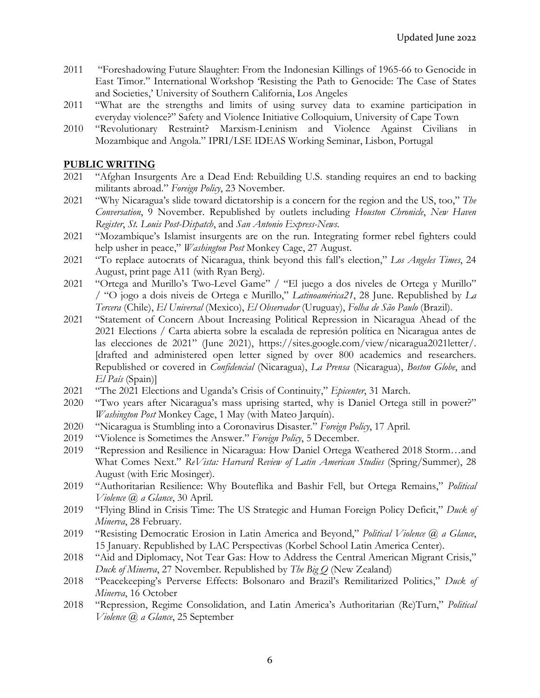- 2011 "Foreshadowing Future Slaughter: From the Indonesian Killings of 1965-66 to Genocide in East Timor." International Workshop 'Resisting the Path to Genocide: The Case of States and Societies,' University of Southern California, Los Angeles
- 2011 "What are the strengths and limits of using survey data to examine participation in everyday violence?" Safety and Violence Initiative Colloquium, University of Cape Town
- 2010 "Revolutionary Restraint? Marxism-Leninism and Violence Against Civilians in Mozambique and Angola." IPRI/LSE IDEAS Working Seminar, Lisbon, Portugal

### **PUBLIC WRITING**

- 2021 "Afghan Insurgents Are a Dead End: Rebuilding U.S. standing requires an end to backing militants abroad." *Foreign Policy*, 23 November.
- 2021 "Why Nicaragua's slide toward dictatorship is a concern for the region and the US, too," *The Conversation*, 9 November. Republished by outlets including *Houston Chronicle*, *New Haven Register*, *St. Louis Post-Dispatch*, and *San Antonio Express-News*.
- 2021 "Mozambique's Islamist insurgents are on the run. Integrating former rebel fighters could help usher in peace," *Washington Post* Monkey Cage, 27 August.
- 2021 "To replace autocrats of Nicaragua, think beyond this fall's election," *Los Angeles Times*, 24 August, print page A11 (with Ryan Berg).
- 2021 "Ortega and Murillo's Two-Level Game" / "El juego a dos niveles de Ortega y Murillo" / "O jogo a dois niveis de Ortega e Murillo," *Latinoamérica21*, 28 June. Republished by *La Tercera* (Chile), *El Universal* (Mexico), *El Observador* (Uruguay), *Folha de São Paulo* (Brazil).
- 2021 "Statement of Concern About Increasing Political Repression in Nicaragua Ahead of the 2021 Elections / Carta abierta sobre la escalada de represión política en Nicaragua antes de las elecciones de 2021" (June 2021), https://sites.google.com/view/nicaragua2021letter/. [drafted and administered open letter signed by over 800 academics and researchers. Republished or covered in *Confidencial* (Nicaragua), *La Prensa* (Nicaragua), *Boston Globe*, and *El País* (Spain)]
- 2021 "The 2021 Elections and Uganda's Crisis of Continuity," *Epicenter*, 31 March.
- 2020 "Two years after Nicaragua's mass uprising started, why is Daniel Ortega still in power?" *Washington Post* Monkey Cage, 1 May (with Mateo Jarquín).
- 2020 "Nicaragua is Stumbling into a Coronavirus Disaster." *Foreign Policy*, 17 April.
- 2019 "Violence is Sometimes the Answer." *Foreign Policy*, 5 December.
- 2019 "Repression and Resilience in Nicaragua: How Daniel Ortega Weathered 2018 Storm…and What Comes Next." *ReVista: Harvard Review of Latin American Studies* (Spring/Summer), 28 August (with Eric Mosinger).
- 2019 "Authoritarian Resilience: Why Bouteflika and Bashir Fell, but Ortega Remains," *Political Violence @ a Glance*, 30 April.
- 2019 "Flying Blind in Crisis Time: The US Strategic and Human Foreign Policy Deficit," *Duck of Minerva*, 28 February.
- 2019 "Resisting Democratic Erosion in Latin America and Beyond," *Political Violence @ a Glance*, 15 January. Republished by LAC Perspectivas (Korbel School Latin America Center).
- 2018 "Aid and Diplomacy, Not Tear Gas: How to Address the Central American Migrant Crisis," *Duck of Minerva*, 27 November. Republished by *The Big Q* (New Zealand)
- 2018 "Peacekeeping's Perverse Effects: Bolsonaro and Brazil's Remilitarized Politics," *Duck of Minerva*, 16 October
- 2018 "Repression, Regime Consolidation, and Latin America's Authoritarian (Re)Turn," *Political Violence @ a Glance*, 25 September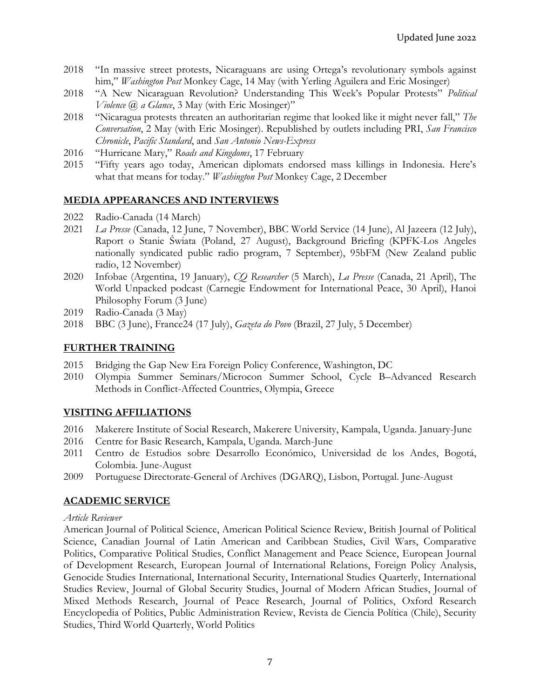- 2018 "In massive street protests, Nicaraguans are using Ortega's revolutionary symbols against him," *Washington Post* Monkey Cage, 14 May (with Yerling Aguilera and Eric Mosinger)
- 2018 "A New Nicaraguan Revolution? Understanding This Week's Popular Protests" *Political Violence @ a Glance*, 3 May (with Eric Mosinger)"
- 2018 "Nicaragua protests threaten an authoritarian regime that looked like it might never fall," *The Conversation*, 2 May (with Eric Mosinger). Republished by outlets including PRI, *San Francisco Chronicle*, *Pacific Standard*, and *San Antonio News-Express*
- 2016 "Hurricane Mary," *Roads and Kingdoms*, 17 February
- 2015 "Fifty years ago today, American diplomats endorsed mass killings in Indonesia. Here's what that means for today." *Washington Post* Monkey Cage, 2 December

### **MEDIA APPEARANCES AND INTERVIEWS**

- 2022 Radio-Canada (14 March)
- 2021 *La Presse* (Canada, 12 June, 7 November), BBC World Service (14 June), Al Jazeera (12 July), Raport o Stanie Świata (Poland, 27 August), Background Briefing (KPFK-Los Angeles nationally syndicated public radio program, 7 September), 95bFM (New Zealand public radio, 12 November)
- 2020 Infobae (Argentina, 19 January), *CQ Researcher* (5 March), *La Presse* (Canada, 21 April), The World Unpacked podcast (Carnegie Endowment for International Peace, 30 April), Hanoi Philosophy Forum (3 June)
- 2019 Radio-Canada (3 May)
- 2018 BBC (3 June), France24 (17 July), *Gazeta do Povo* (Brazil, 27 July, 5 December)

#### **FURTHER TRAINING**

- 2015 Bridging the Gap New Era Foreign Policy Conference, Washington, DC
- 2010 Olympia Summer Seminars/Microcon Summer School, Cycle B–Advanced Research Methods in Conflict-Affected Countries, Olympia, Greece

### **VISITING AFFILIATIONS**

- 2016 Makerere Institute of Social Research, Makerere University, Kampala, Uganda. January-June
- 2016 Centre for Basic Research, Kampala, Uganda. March-June
- 2011 Centro de Estudios sobre Desarrollo Económico, Universidad de los Andes, Bogotá, Colombia. June-August
- 2009 Portuguese Directorate-General of Archives (DGARQ), Lisbon, Portugal. June-August

### **ACADEMIC SERVICE**

#### *Article Reviewer*

American Journal of Political Science, American Political Science Review, British Journal of Political Science, Canadian Journal of Latin American and Caribbean Studies, Civil Wars, Comparative Politics, Comparative Political Studies, Conflict Management and Peace Science, European Journal of Development Research, European Journal of International Relations, Foreign Policy Analysis, Genocide Studies International, International Security, International Studies Quarterly, International Studies Review, Journal of Global Security Studies, Journal of Modern African Studies, Journal of Mixed Methods Research, Journal of Peace Research, Journal of Politics, Oxford Research Encyclopedia of Politics, Public Administration Review, Revista de Ciencia Política (Chile), Security Studies, Third World Quarterly, World Politics